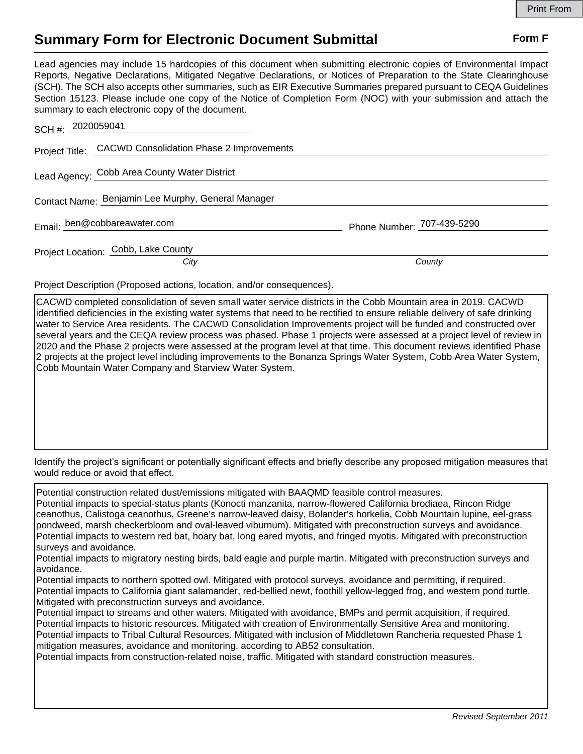## **Summary Form for Electronic Document Submittal Form F Form F**

Lead agencies may include 15 hardcopies of this document when submitting electronic copies of Environmental Impact Reports, Negative Declarations, Mitigated Negative Declarations, or Notices of Preparation to the State Clearinghouse (SCH). The SCH also accepts other summaries, such as EIR Executive Summaries prepared pursuant to CEQA Guidelines Section 15123. Please include one copy of the Notice of Completion Form (NOC) with your submission and attach the summary to each electronic copy of the document.

| SCH #: 2020059041                                       |                            |
|---------------------------------------------------------|----------------------------|
| Project Title: CACWD Consolidation Phase 2 Improvements |                            |
| Lead Agency: Cobb Area County Water District            |                            |
| Contact Name: Benjamin Lee Murphy, General Manager      |                            |
| Email: ben@cobbareawater.com                            | Phone Number: 707-439-5290 |
| Project Location: Cobb, Lake County<br>City             | County                     |

Project Description (Proposed actions, location, and/or consequences).

CACWD completed consolidation of seven small water service districts in the Cobb Mountain area in 2019. CACWD identified deficiencies in the existing water systems that need to be rectified to ensure reliable delivery of safe drinking water to Service Area residents. The CACWD Consolidation Improvements project will be funded and constructed over several years and the CEQA review process was phased. Phase 1 projects were assessed at a project level of review in 2020 and the Phase 2 projects were assessed at the program level at that time. This document reviews identified Phase 2 projects at the project level including improvements to the Bonanza Springs Water System, Cobb Area Water System, Cobb Mountain Water Company and Starview Water System.

Identify the project's significant or potentially significant effects and briefly describe any proposed mitigation measures that would reduce or avoid that effect.

Potential construction related dust/emissions mitigated with BAAQMD feasible control measures. Potential impacts to special-status plants (Konocti manzanita, narrow-flowered California brodiaea, Rincon Ridge ceanothus, Calistoga ceanothus, Greene's narrow-leaved daisy, Bolander's horkelia, Cobb Mountain lupine, eel-grass pondweed, marsh checkerbloom and oval-leaved viburnum). Mitigated with preconstruction surveys and avoidance. Potential impacts to western red bat, hoary bat, long eared myotis, and fringed myotis. Mitigated with preconstruction surveys and avoidance.

Potential impacts to migratory nesting birds, bald eagle and purple martin. Mitigated with preconstruction surveys and avoidance.

Potential impacts to northern spotted owl. Mitigated with protocol surveys, avoidance and permitting, if required. Potential impacts to California giant salamander, red-bellied newt, foothill yellow-legged frog, and western pond turtle. Mitigated with preconstruction surveys and avoidance.

Potential impact to streams and other waters. Mitigated with avoidance, BMPs and permit acquisition, if required. Potential impacts to historic resources. Mitigated with creation of Environmentally Sensitive Area and monitoring. Potential impacts to Tribal Cultural Resources. Mitigated with inclusion of Middletown Rancheria requested Phase 1 mitigation measures, avoidance and monitoring, according to AB52 consultation.

Potential impacts from construction-related noise, traffic. Mitigated with standard construction measures.